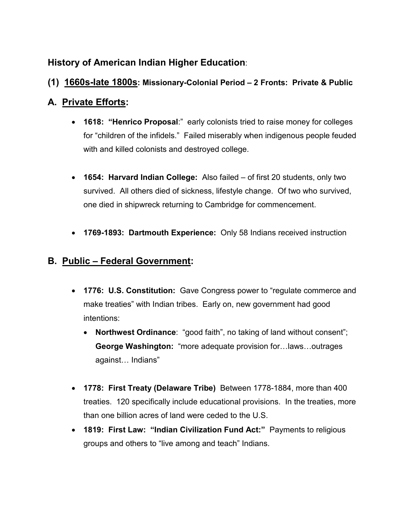## **History of American Indian Higher Education**:

#### **(1) 1660s-late 1800s: Missionary-Colonial Period – 2 Fronts: Private & Public**

### **A. Private Efforts:**

- **1618: "Henrico Proposal**:" early colonists tried to raise money for colleges for "children of the infidels." Failed miserably when indigenous people feuded with and killed colonists and destroyed college.
- **1654: Harvard Indian College:** Also failed of first 20 students, only two survived. All others died of sickness, lifestyle change. Of two who survived, one died in shipwreck returning to Cambridge for commencement.
- **1769-1893: Dartmouth Experience:** Only 58 Indians received instruction

## **B. Public – Federal Government:**

- **1776: U.S. Constitution:** Gave Congress power to "regulate commerce and make treaties" with Indian tribes. Early on, new government had good intentions:
	- **Northwest Ordinance**: "good faith", no taking of land without consent"; **George Washington:** "more adequate provision for…laws…outrages against… Indians"
- **1778: First Treaty (Delaware Tribe)** Between 1778-1884, more than 400 treaties. 120 specifically include educational provisions. In the treaties, more than one billion acres of land were ceded to the U.S.
- **1819: First Law: "Indian Civilization Fund Act:"** Payments to religious groups and others to "live among and teach" Indians.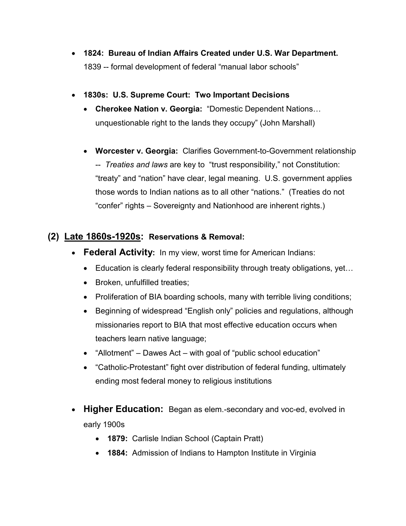- **1824: Bureau of Indian Affairs Created under U.S. War Department.**  1839 -- formal development of federal "manual labor schools"
- **1830s: U.S. Supreme Court: Two Important Decisions**
	- **Cherokee Nation v. Georgia:** "Domestic Dependent Nations… unquestionable right to the lands they occupy" (John Marshall)
	- **Worcester v. Georgia:** Clarifies Government-to-Government relationship -- *Treaties and laws* are key to "trust responsibility," not Constitution: "treaty" and "nation" have clear, legal meaning. U.S. government applies those words to Indian nations as to all other "nations." (Treaties do not "confer" rights – Sovereignty and Nationhood are inherent rights.)

#### **(2) Late 1860s-1920s: Reservations & Removal:**

- **Federal Activity:** In my view, worst time for American Indians:
	- Education is clearly federal responsibility through treaty obligations, yet...
	- Broken, unfulfilled treaties;
	- Proliferation of BIA boarding schools, many with terrible living conditions;
	- Beginning of widespread "English only" policies and regulations, although missionaries report to BIA that most effective education occurs when teachers learn native language;
	- "Allotment" Dawes Act with goal of "public school education"
	- "Catholic-Protestant" fight over distribution of federal funding, ultimately ending most federal money to religious institutions
- **Higher Education:** Began as elem.-secondary and voc-ed, evolved in early 1900s
	- **1879:** Carlisle Indian School (Captain Pratt)
	- **1884:** Admission of Indians to Hampton Institute in Virginia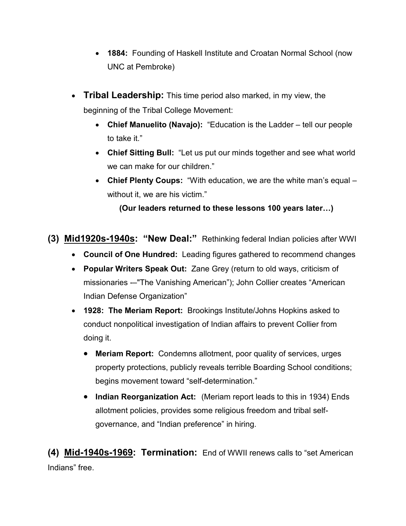- **1884:** Founding of Haskell Institute and Croatan Normal School (now UNC at Pembroke)
- **Tribal Leadership:** This time period also marked, in my view, the beginning of the Tribal College Movement:
	- **Chief Manuelito (Navajo):** "Education is the Ladder tell our people to take it."
	- **Chief Sitting Bull:** "Let us put our minds together and see what world we can make for our children."
	- **Chief Plenty Coups:** "With education, we are the white man's equal without it, we are his victim."

**(Our leaders returned to these lessons 100 years later…)**

**(3) Mid1920s-1940s: "New Deal:"** Rethinking federal Indian policies after WWI

- **Council of One Hundred:** Leading figures gathered to recommend changes
- **Popular Writers Speak Out:** Zane Grey (return to old ways, criticism of missionaries -–"The Vanishing American"); John Collier creates "American Indian Defense Organization"
- **1928: The Meriam Report:** Brookings Institute/Johns Hopkins asked to conduct nonpolitical investigation of Indian affairs to prevent Collier from doing it.
	- **Meriam Report:** Condemns allotment, poor quality of services, urges property protections, publicly reveals terrible Boarding School conditions; begins movement toward "self-determination."
	- **Indian Reorganization Act:** (Meriam report leads to this in 1934) Ends allotment policies, provides some religious freedom and tribal selfgovernance, and "Indian preference" in hiring.

**(4) Mid-1940s-1969: Termination:** End of WWII renews calls to "set American Indians" free.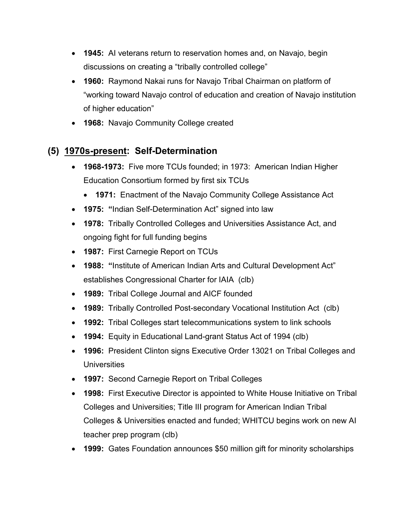- **1945:** AI veterans return to reservation homes and, on Navajo, begin discussions on creating a "tribally controlled college"
- **1960:** Raymond Nakai runs for Navajo Tribal Chairman on platform of "working toward Navajo control of education and creation of Navajo institution of higher education"
- **1968:** Navajo Community College created

## **(5) 1970s-present: Self-Determination**

- **1968-1973:** Five more TCUs founded; in 1973: American Indian Higher Education Consortium formed by first six TCUs
	- **1971:** Enactment of the Navajo Community College Assistance Act
- **1975: "**Indian Self-Determination Act" signed into law
- **1978:** Tribally Controlled Colleges and Universities Assistance Act, and ongoing fight for full funding begins
- **1987:** First Carnegie Report on TCUs
- **1988: "**Institute of American Indian Arts and Cultural Development Act" establishes Congressional Charter for IAIA (clb)
- **1989:** Tribal College Journal and AICF founded
- **1989:** Tribally Controlled Post-secondary Vocational Institution Act (clb)
- **1992:** Tribal Colleges start telecommunications system to link schools
- **1994:** Equity in Educational Land-grant Status Act of 1994 (clb)
- **1996:** President Clinton signs Executive Order 13021 on Tribal Colleges and Universities
- **1997:** Second Carnegie Report on Tribal Colleges
- **1998:** First Executive Director is appointed to White House Initiative on Tribal Colleges and Universities; Title III program for American Indian Tribal Colleges & Universities enacted and funded; WHITCU begins work on new AI teacher prep program (clb)
- **1999:** Gates Foundation announces \$50 million gift for minority scholarships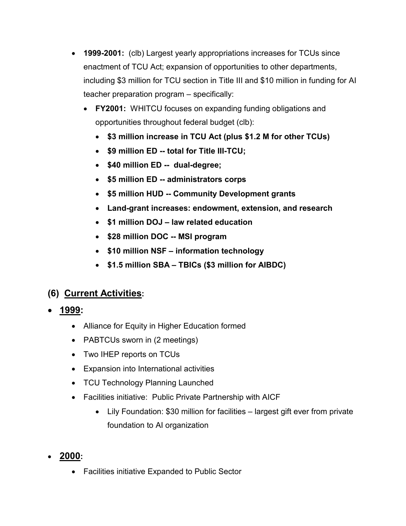- **1999-2001:** (clb) Largest yearly appropriations increases for TCUs since enactment of TCU Act; expansion of opportunities to other departments, including \$3 million for TCU section in Title III and \$10 million in funding for AI teacher preparation program – specifically:
	- **FY2001:** WHITCU focuses on expanding funding obligations and opportunities throughout federal budget (clb):
		- **\$3 million increase in TCU Act (plus \$1.2 M for other TCUs)**
		- **\$9 million ED -- total for Title III-TCU;**
		- **\$40 million ED -- dual-degree;**
		- **\$5 million ED -- administrators corps**
		- **\$5 million HUD -- Community Development grants**
		- **Land-grant increases: endowment, extension, and research**
		- **\$1 million DOJ – law related education**
		- **\$28 million DOC -- MSI program**
		- **\$10 million NSF – information technology**
		- **\$1.5 million SBA – TBICs (\$3 million for AIBDC)**

# **(6) Current Activities:**

- **1999:**
	- Alliance for Equity in Higher Education formed
	- PABTCUs sworn in (2 meetings)
	- Two IHEP reports on TCUs
	- Expansion into International activities
	- TCU Technology Planning Launched
	- Facilities initiative: Public Private Partnership with AICF
		- Lily Foundation: \$30 million for facilities largest gift ever from private foundation to AI organization
- **2000:**
	- Facilities initiative Expanded to Public Sector